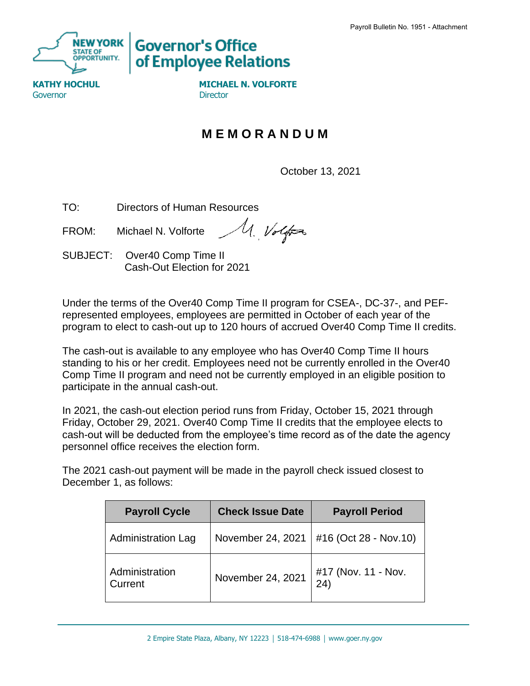

**Governor's Office** of Employee Relations

Governor **Director** Director

**KATHY HOCHUL MICHAEL N. VOLFORTE** 

## **M E M O R A N D U M**

October 13, 2021

TO: Directors of Human Resources

M. Volfor FROM: Michael N. Volforte

SUBJECT: Over40 Comp Time II Cash-Out Election for 2021

Under the terms of the Over40 Comp Time II program for CSEA-, DC-37-, and PEFrepresented employees, employees are permitted in October of each year of the program to elect to cash-out up to 120 hours of accrued Over40 Comp Time II credits.

The cash-out is available to any employee who has Over40 Comp Time II hours standing to his or her credit. Employees need not be currently enrolled in the Over40 Comp Time II program and need not be currently employed in an eligible position to participate in the annual cash-out.

In 2021, the cash-out election period runs from Friday, October 15, 2021 through Friday, October 29, 2021. Over40 Comp Time II credits that the employee elects to cash-out will be deducted from the employee's time record as of the date the agency personnel office receives the election form.

The 2021 cash-out payment will be made in the payroll check issued closest to December 1, as follows:

| <b>Payroll Cycle</b>      | <b>Check Issue Date</b> | <b>Payroll Period</b>       |
|---------------------------|-------------------------|-----------------------------|
| <b>Administration Lag</b> | November 24, 2021       | #16 (Oct 28 - Nov.10)       |
| Administration<br>Current | November 24, 2021       | #17 (Nov. 11 - Nov.<br>(24) |